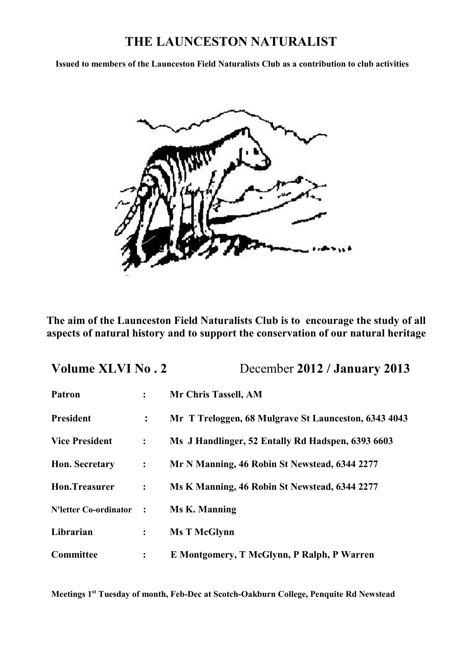# **THE LAUNCESTON NATURALIST**

**Issued to members of the Launceston Field Naturalists Club as a contribution to club activities**



**The aim of the Launceston Field Naturalists Club is to encourage the study of all aspects of natural history and to support the conservation of our natural heritage**

| <b>Volume XLVI No. 2</b>     |                | December 2012 / January 2013                         |
|------------------------------|----------------|------------------------------------------------------|
| Patron                       | $\ddot{\cdot}$ | Mr Chris Tassell, AM                                 |
| President                    | $\ddot{\cdot}$ | Mr T Treloggen, 68 Mulgrave St Launceston, 6343 4043 |
| <b>Vice President</b>        | $\ddot{\cdot}$ | Ms J Handlinger, 52 Entally Rd Hadspen, 6393 6603    |
| Hon. Secretary               | :              | Mr N Manning, 46 Robin St Newstead, 6344 2277        |
| Hon.Treasurer                | $\ddot{\cdot}$ | Ms K Manning, 46 Robin St Newstead, 6344 2277        |
| <b>N'letter Co-ordinator</b> | $\ddot{\cdot}$ | <b>Ms K. Manning</b>                                 |
| Librarian                    | $\ddot{\cdot}$ | <b>Ms T McGlynn</b>                                  |
| Committee                    | $\ddot{\cdot}$ | E Montgomery, T McGlynn, P Ralph, P Warren           |

**Meetings 1st Tuesday of month, Feb-Dec at Scotch-Oakburn College, Penquite Rd Newstead**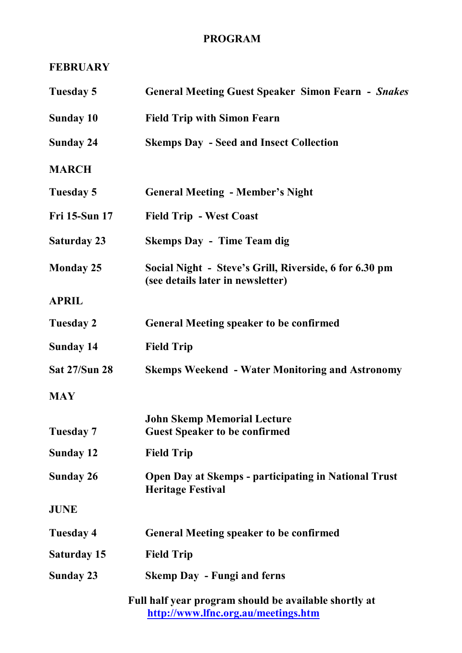# **PROGRAM**

# **FEBRUARY**

| Tuesday 5        | <b>General Meeting Guest Speaker Simon Fearn - Snakes</b>                                    |
|------------------|----------------------------------------------------------------------------------------------|
| Sunday 10        | <b>Field Trip with Simon Fearn</b>                                                           |
| Sunday 24        | <b>Skemps Day - Seed and Insect Collection</b>                                               |
| <b>MARCH</b>     |                                                                                              |
| Tuesday 5        | <b>General Meeting - Member's Night</b>                                                      |
| Fri 15-Sun 17    | <b>Field Trip - West Coast</b>                                                               |
| Saturday 23      | <b>Skemps Day - Time Team dig</b>                                                            |
| <b>Monday 25</b> | Social Night - Steve's Grill, Riverside, 6 for 6.30 pm<br>(see details later in newsletter)  |
| <b>APRIL</b>     |                                                                                              |
| Tuesday 2        | <b>General Meeting speaker to be confirmed</b>                                               |
| Sunday 14        | <b>Field Trip</b>                                                                            |
| Sat 27/Sun 28    | <b>Skemps Weekend - Water Monitoring and Astronomy</b>                                       |
| <b>MAY</b>       |                                                                                              |
| Tuesday 7        | <b>John Skemp Memorial Lecture</b><br><b>Guest Speaker to be confirmed</b>                   |
| Sunday 12        | <b>Field Trip</b>                                                                            |
| Sunday 26        | Open Day at Skemps - participating in National Trust<br><b>Heritage Festival</b>             |
| JUNE             |                                                                                              |
| Tuesday 4        | <b>General Meeting speaker to be confirmed</b>                                               |
| Saturday 15      | <b>Field Trip</b>                                                                            |
| Sunday 23        | <b>Skemp Day - Fungi and ferns</b>                                                           |
|                  | Full half year program should be available shortly at<br>http://www.lfnc.org.au/meetings.htm |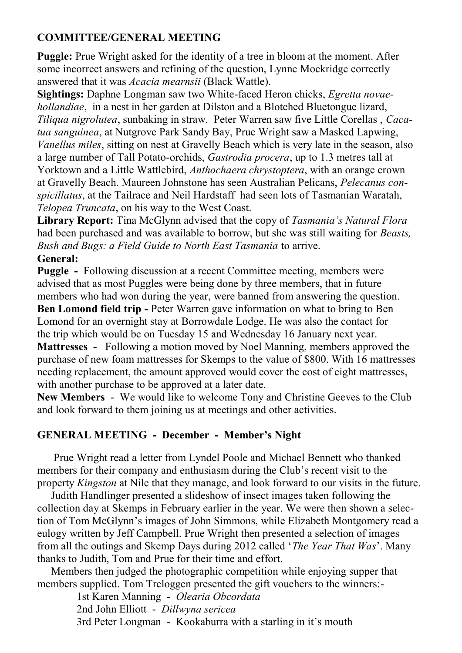# **COMMITTEE/GENERAL MEETING**

**Puggle:** Prue Wright asked for the identity of a tree in bloom at the moment. After some incorrect answers and refining of the question, Lynne Mockridge correctly answered that it was *Acacia mearnsii* (Black Wattle).

**Sightings:** Daphne Longman saw two White-faced Heron chicks, *Egretta novaehollandiae*, in a nest in her garden at Dilston and a Blotched Bluetongue lizard, *Tiliqua nigrolutea*, sunbaking in straw. Peter Warren saw five Little Corellas , *Cacatua sanguinea*, at Nutgrove Park Sandy Bay, Prue Wright saw a Masked Lapwing, *Vanellus miles*, sitting on nest at Gravelly Beach which is very late in the season, also a large number of Tall Potato-orchids, *Gastrodia procera*, up to 1.3 metres tall at Yorktown and a Little Wattlebird, *Anthochaera chrystoptera*, with an orange crown at Gravelly Beach. Maureen Johnstone has seen Australian Pelicans, *Pelecanus conspicillatus*, at the Tailrace and Neil Hardstaff had seen lots of Tasmanian Waratah, *Telopea Truncata*, on his way to the West Coast.

**Library Report:** Tina McGlynn advised that the copy of *Tasmania's Natural Flora*  had been purchased and was available to borrow, but she was still waiting for *Beasts, Bush and Bugs: a Field Guide to North East Tasmania* to arrive.

## **General:**

**Puggle -** Following discussion at a recent Committee meeting, members were advised that as most Puggles were being done by three members, that in future members who had won during the year, were banned from answering the question.

**Ben Lomond field trip -** Peter Warren gave information on what to bring to Ben Lomond for an overnight stay at Borrowdale Lodge. He was also the contact for the trip which would be on Tuesday 15 and Wednesday 16 January next year.

**Mattresses -** Following a motion moved by Noel Manning, members approved the purchase of new foam mattresses for Skemps to the value of \$800. With 16 mattresses needing replacement, the amount approved would cover the cost of eight mattresses, with another purchase to be approved at a later date.

**New Members** - We would like to welcome Tony and Christine Geeves to the Club and look forward to them joining us at meetings and other activities.

## **GENERAL MEETING - December - Member's Night**

 Prue Wright read a letter from Lyndel Poole and Michael Bennett who thanked members for their company and enthusiasm during the Club's recent visit to the property *Kingston* at Nile that they manage, and look forward to our visits in the future.

 Judith Handlinger presented a slideshow of insect images taken following the collection day at Skemps in February earlier in the year. We were then shown a selection of Tom McGlynn's images of John Simmons, while Elizabeth Montgomery read a eulogy written by Jeff Campbell. Prue Wright then presented a selection of images from all the outings and Skemp Days during 2012 called '*The Year That Was*'. Many thanks to Judith, Tom and Prue for their time and effort.

 Members then judged the photographic competition while enjoying supper that members supplied. Tom Treloggen presented the gift vouchers to the winners:-

1st Karen Manning - *Olearia Obcordata* 2nd John Elliott - *Dillwyna sericea* 3rd Peter Longman - Kookaburra with a starling in it's mouth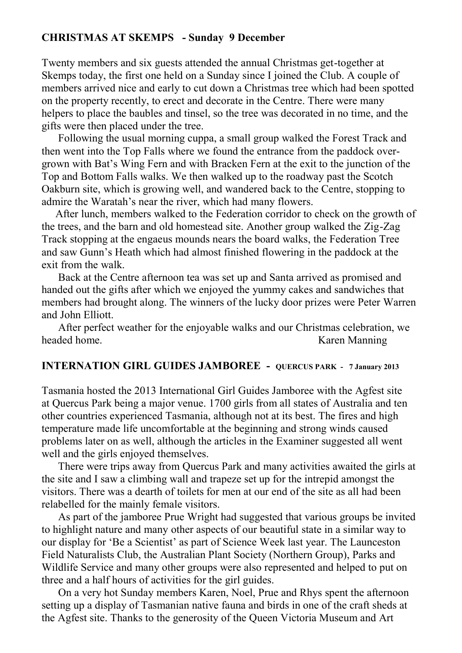#### **CHRISTMAS AT SKEMPS - Sunday 9 December**

Twenty members and six guests attended the annual Christmas get-together at Skemps today, the first one held on a Sunday since I joined the Club. A couple of members arrived nice and early to cut down a Christmas tree which had been spotted on the property recently, to erect and decorate in the Centre. There were many helpers to place the baubles and tinsel, so the tree was decorated in no time, and the gifts were then placed under the tree.

 Following the usual morning cuppa, a small group walked the Forest Track and then went into the Top Falls where we found the entrance from the paddock overgrown with Bat's Wing Fern and with Bracken Fern at the exit to the junction of the Top and Bottom Falls walks. We then walked up to the roadway past the Scotch Oakburn site, which is growing well, and wandered back to the Centre, stopping to admire the Waratah's near the river, which had many flowers.

 After lunch, members walked to the Federation corridor to check on the growth of the trees, and the barn and old homestead site. Another group walked the Zig-Zag Track stopping at the engaeus mounds nears the board walks, the Federation Tree and saw Gunn's Heath which had almost finished flowering in the paddock at the exit from the walk.

 Back at the Centre afternoon tea was set up and Santa arrived as promised and handed out the gifts after which we enjoyed the yummy cakes and sandwiches that members had brought along. The winners of the lucky door prizes were Peter Warren and John Elliott.

 After perfect weather for the enjoyable walks and our Christmas celebration, we headed home. Karen Manning

## **INTERNATION GIRL GUIDES JAMBOREE - QUERCUS PARK - 7 January 2013**

Tasmania hosted the 2013 International Girl Guides Jamboree with the Agfest site at Quercus Park being a major venue. 1700 girls from all states of Australia and ten other countries experienced Tasmania, although not at its best. The fires and high temperature made life uncomfortable at the beginning and strong winds caused problems later on as well, although the articles in the Examiner suggested all went well and the girls enjoyed themselves.

 There were trips away from Quercus Park and many activities awaited the girls at the site and I saw a climbing wall and trapeze set up for the intrepid amongst the visitors. There was a dearth of toilets for men at our end of the site as all had been relabelled for the mainly female visitors.

 As part of the jamboree Prue Wright had suggested that various groups be invited to highlight nature and many other aspects of our beautiful state in a similar way to our display for 'Be a Scientist' as part of Science Week last year. The Launceston Field Naturalists Club, the Australian Plant Society (Northern Group), Parks and Wildlife Service and many other groups were also represented and helped to put on three and a half hours of activities for the girl guides.

 On a very hot Sunday members Karen, Noel, Prue and Rhys spent the afternoon setting up a display of Tasmanian native fauna and birds in one of the craft sheds at the Agfest site. Thanks to the generosity of the Queen Victoria Museum and Art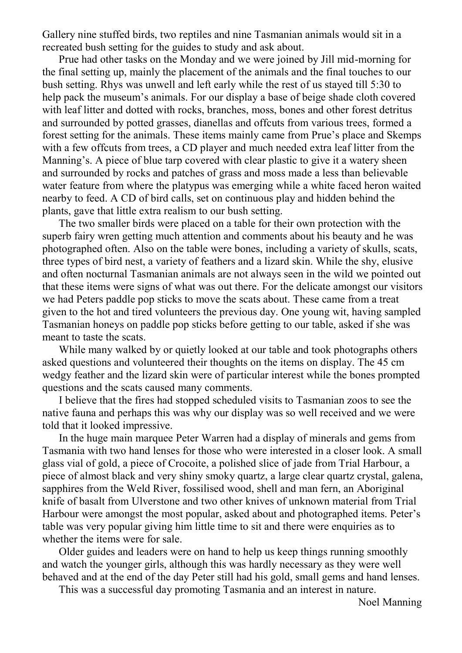Gallery nine stuffed birds, two reptiles and nine Tasmanian animals would sit in a recreated bush setting for the guides to study and ask about.

 Prue had other tasks on the Monday and we were joined by Jill mid-morning for the final setting up, mainly the placement of the animals and the final touches to our bush setting. Rhys was unwell and left early while the rest of us stayed till 5:30 to help pack the museum's animals. For our display a base of beige shade cloth covered with leaf litter and dotted with rocks, branches, moss, bones and other forest detritus and surrounded by potted grasses, dianellas and offcuts from various trees, formed a forest setting for the animals. These items mainly came from Prue's place and Skemps with a few offcuts from trees, a CD player and much needed extra leaf litter from the Manning's. A piece of blue tarp covered with clear plastic to give it a watery sheen and surrounded by rocks and patches of grass and moss made a less than believable water feature from where the platypus was emerging while a white faced heron waited nearby to feed. A CD of bird calls, set on continuous play and hidden behind the plants, gave that little extra realism to our bush setting.

 The two smaller birds were placed on a table for their own protection with the superb fairy wren getting much attention and comments about his beauty and he was photographed often. Also on the table were bones, including a variety of skulls, scats, three types of bird nest, a variety of feathers and a lizard skin. While the shy, elusive and often nocturnal Tasmanian animals are not always seen in the wild we pointed out that these items were signs of what was out there. For the delicate amongst our visitors we had Peters paddle pop sticks to move the scats about. These came from a treat given to the hot and tired volunteers the previous day. One young wit, having sampled Tasmanian honeys on paddle pop sticks before getting to our table, asked if she was meant to taste the scats.

While many walked by or quietly looked at our table and took photographs others asked questions and volunteered their thoughts on the items on display. The 45 cm wedgy feather and the lizard skin were of particular interest while the bones prompted questions and the scats caused many comments.

 I believe that the fires had stopped scheduled visits to Tasmanian zoos to see the native fauna and perhaps this was why our display was so well received and we were told that it looked impressive.

 In the huge main marquee Peter Warren had a display of minerals and gems from Tasmania with two hand lenses for those who were interested in a closer look. A small glass vial of gold, a piece of Crocoite, a polished slice of jade from Trial Harbour, a piece of almost black and very shiny smoky quartz, a large clear quartz crystal, galena, sapphires from the Weld River, fossilised wood, shell and man fern, an Aboriginal knife of basalt from Ulverstone and two other knives of unknown material from Trial Harbour were amongst the most popular, asked about and photographed items. Peter's table was very popular giving him little time to sit and there were enquiries as to whether the items were for sale.

 Older guides and leaders were on hand to help us keep things running smoothly and watch the younger girls, although this was hardly necessary as they were well behaved and at the end of the day Peter still had his gold, small gems and hand lenses.

This was a successful day promoting Tasmania and an interest in nature.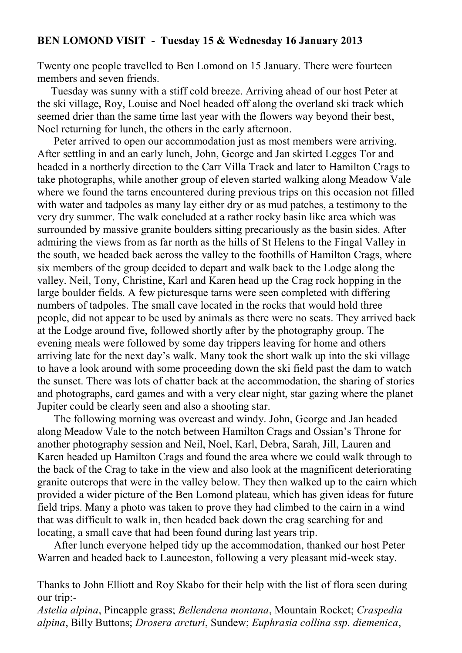#### **BEN LOMOND VISIT - Tuesday 15 & Wednesday 16 January 2013**

Twenty one people travelled to Ben Lomond on 15 January. There were fourteen members and seven friends.

 Tuesday was sunny with a stiff cold breeze. Arriving ahead of our host Peter at the ski village, Roy, Louise and Noel headed off along the overland ski track which seemed drier than the same time last year with the flowers way beyond their best, Noel returning for lunch, the others in the early afternoon.

 Peter arrived to open our accommodation just as most members were arriving. After settling in and an early lunch, John, George and Jan skirted Legges Tor and headed in a northerly direction to the Carr Villa Track and later to Hamilton Crags to take photographs, while another group of eleven started walking along Meadow Vale where we found the tarns encountered during previous trips on this occasion not filled with water and tadpoles as many lay either dry or as mud patches, a testimony to the very dry summer. The walk concluded at a rather rocky basin like area which was surrounded by massive granite boulders sitting precariously as the basin sides. After admiring the views from as far north as the hills of St Helens to the Fingal Valley in the south, we headed back across the valley to the foothills of Hamilton Crags, where six members of the group decided to depart and walk back to the Lodge along the valley. Neil, Tony, Christine, Karl and Karen head up the Crag rock hopping in the large boulder fields. A few picturesque tarns were seen completed with differing numbers of tadpoles. The small cave located in the rocks that would hold three people, did not appear to be used by animals as there were no scats. They arrived back at the Lodge around five, followed shortly after by the photography group. The evening meals were followed by some day trippers leaving for home and others arriving late for the next day's walk. Many took the short walk up into the ski village to have a look around with some proceeding down the ski field past the dam to watch the sunset. There was lots of chatter back at the accommodation, the sharing of stories and photographs, card games and with a very clear night, star gazing where the planet Jupiter could be clearly seen and also a shooting star.

 The following morning was overcast and windy. John, George and Jan headed along Meadow Vale to the notch between Hamilton Crags and Ossian's Throne for another photography session and Neil, Noel, Karl, Debra, Sarah, Jill, Lauren and Karen headed up Hamilton Crags and found the area where we could walk through to the back of the Crag to take in the view and also look at the magnificent deteriorating granite outcrops that were in the valley below. They then walked up to the cairn which provided a wider picture of the Ben Lomond plateau, which has given ideas for future field trips. Many a photo was taken to prove they had climbed to the cairn in a wind that was difficult to walk in, then headed back down the crag searching for and locating, a small cave that had been found during last years trip.

 After lunch everyone helped tidy up the accommodation, thanked our host Peter Warren and headed back to Launceston, following a very pleasant mid-week stay.

Thanks to John Elliott and Roy Skabo for their help with the list of flora seen during our trip:-

*Astelia alpina*, Pineapple grass; *Bellendena montana*, Mountain Rocket; *Craspedia alpina*, Billy Buttons; *Drosera arcturi*, Sundew; *Euphrasia collina ssp. diemenica*,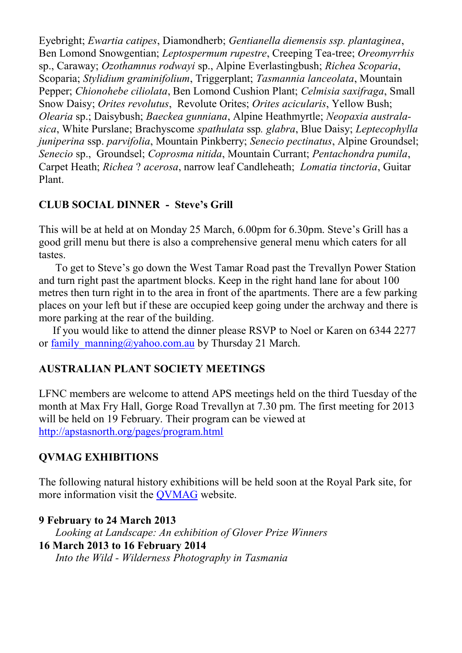Eyebright; *Ewartia catipes*, Diamondherb; *Gentianella diemensis ssp. plantaginea*, Ben Lomond Snowgentian; *Leptospermum rupestre*, Creeping Tea-tree; *Oreomyrrhis*  sp., Caraway; *Ozothamnus rodwayi* sp., Alpine Everlastingbush; *Richea Scoparia*, Scoparia; *Stylidium graminifolium*, Triggerplant; *Tasmannia lanceolata*, Mountain Pepper; *Chionohebe ciliolata*, Ben Lomond Cushion Plant; *Celmisia saxifraga*, Small Snow Daisy; *Orites revolutus*, Revolute Orites; *Orites acicularis*, Yellow Bush; *Olearia* sp.; Daisybush; *Baeckea gunniana*, Alpine Heathmyrtle; *Neopaxia australasica*, White Purslane; Brachyscome *spathulata* ssp*. glabra*, Blue Daisy; *Leptecophylla juniperina* ssp. *parvifolia*, Mountain Pinkberry; *Senecio pectinatus*, Alpine Groundsel; *Senecio* sp., Groundsel; *Coprosma nitida*, Mountain Currant; *Pentachondra pumila*, Carpet Heath; *Richea* ? *acerosa*, narrow leaf Candleheath; *Lomatia tinctoria*, Guitar Plant.

# **CLUB SOCIAL DINNER - Steve's Grill**

This will be at held at on Monday 25 March, 6.00pm for 6.30pm. Steve's Grill has a good grill menu but there is also a comprehensive general menu which caters for all tastes.

 To get to Steve's go down the West Tamar Road past the Trevallyn Power Station and turn right past the apartment blocks. Keep in the right hand lane for about 100 metres then turn right in to the area in front of the apartments. There are a few parking places on your left but if these are occupied keep going under the archway and there is more parking at the rear of the building.

 If you would like to attend the dinner please RSVP to Noel or Karen on 6344 2277 or family manning@yahoo.com.au by Thursday 21 March.

## **AUSTRALIAN PLANT SOCIETY MEETINGS**

LFNC members are welcome to attend APS meetings held on the third Tuesday of the month at Max Fry Hall, Gorge Road Trevallyn at 7.30 pm. The first meeting for 2013 will be held on 19 February. Their program can be viewed at <http://apstasnorth.org/pages/program.html>

## **QVMAG EXHIBITIONS**

The following natural history exhibitions will be held soon at the Royal Park site, for more information visit the [QVMAG](http://www.qvmag.tas.gov.au/qvmag/index.php?c=2) website.

### **9 February to 24 March 2013**

 *Looking at Landscape: An exhibition of Glover Prize Winners*  **16 March 2013 to 16 February 2014** *Into the Wild - Wilderness Photography in Tasmania*